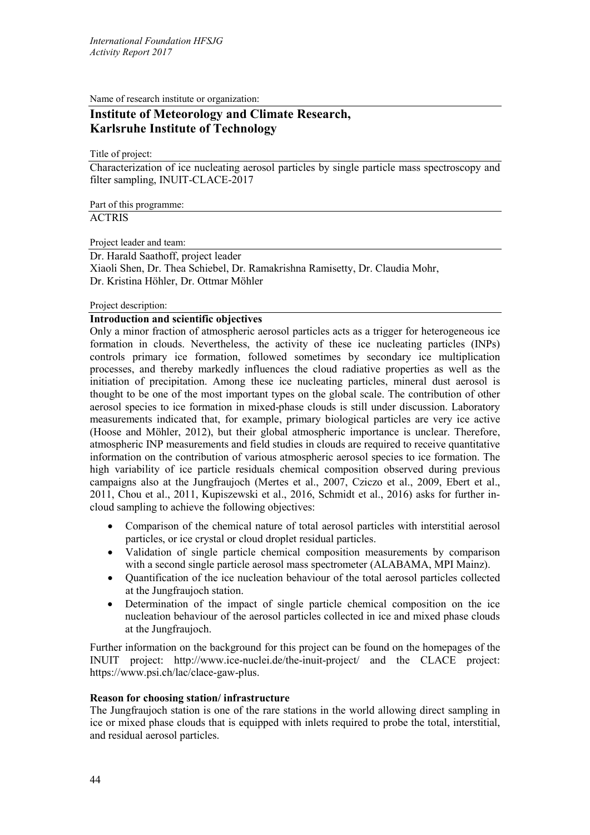Name of research institute or organization:

# **Institute of Meteorology and Climate Research, Karlsruhe Institute of Technology**

Title of project:

Characterization of ice nucleating aerosol particles by single particle mass spectroscopy and filter sampling, INUIT-CLACE-2017

Part of this programme:

## **ACTRIS**

Project leader and team:

Dr. Harald Saathoff, project leader

Xiaoli Shen, Dr. Thea Schiebel, Dr. Ramakrishna Ramisetty, Dr. Claudia Mohr, Dr. Kristina Höhler, Dr. Ottmar Möhler

### Project description:

### **Introduction and scientific objectives**

Only a minor fraction of atmospheric aerosol particles acts as a trigger for heterogeneous ice formation in clouds. Nevertheless, the activity of these ice nucleating particles (INPs) controls primary ice formation, followed sometimes by secondary ice multiplication processes, and thereby markedly influences the cloud radiative properties as well as the initiation of precipitation. Among these ice nucleating particles, mineral dust aerosol is thought to be one of the most important types on the global scale. The contribution of other aerosol species to ice formation in mixed-phase clouds is still under discussion. Laboratory measurements indicated that, for example, primary biological particles are very ice active (Hoose and Möhler, 2012), but their global atmospheric importance is unclear. Therefore, atmospheric INP measurements and field studies in clouds are required to receive quantitative information on the contribution of various atmospheric aerosol species to ice formation. The high variability of ice particle residuals chemical composition observed during previous campaigns also at the Jungfraujoch (Mertes et al., 2007, Cziczo et al., 2009, Ebert et al., 2011, Chou et al., 2011, Kupiszewski et al., 2016, Schmidt et al., 2016) asks for further incloud sampling to achieve the following objectives:

- Comparison of the chemical nature of total aerosol particles with interstitial aerosol particles, or ice crystal or cloud droplet residual particles.
- Validation of single particle chemical composition measurements by comparison with a second single particle aerosol mass spectrometer (ALABAMA, MPI Mainz).
- Quantification of the ice nucleation behaviour of the total aerosol particles collected at the Jungfraujoch station.
- Determination of the impact of single particle chemical composition on the ice nucleation behaviour of the aerosol particles collected in ice and mixed phase clouds at the Jungfraujoch.

Further information on the background for this project can be found on the homepages of the INUIT project: <http://www.ice-nuclei.de/the-inuit-project/> and the CLACE project: [https://www.psi.ch/lac/clace-gaw-plus.](https://www.psi.ch/lac/clace-gaw-plus)

### **Reason for choosing station/ infrastructure**

The Jungfraujoch station is one of the rare stations in the world allowing direct sampling in ice or mixed phase clouds that is equipped with inlets required to probe the total, interstitial, and residual aerosol particles.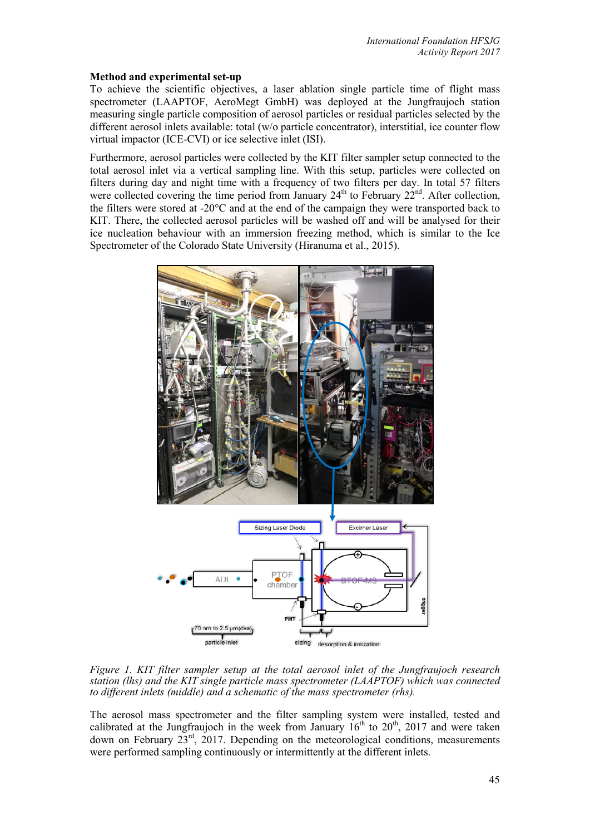### **Method and experimental set-up**

To achieve the scientific objectives, a laser ablation single particle time of flight mass spectrometer (LAAPTOF, AeroMegt GmbH) was deployed at the Jungfraujoch station measuring single particle composition of aerosol particles or residual particles selected by the different aerosol inlets available: total (w/o particle concentrator), interstitial, ice counter flow virtual impactor (ICE-CVI) or ice selective inlet (ISI).

Furthermore, aerosol particles were collected by the KIT filter sampler setup connected to the total aerosol inlet via a vertical sampling line. With this setup, particles were collected on filters during day and night time with a frequency of two filters per day. In total 57 filters were collected covering the time period from January  $24<sup>th</sup>$  to February  $22<sup>nd</sup>$ . After collection, the filters were stored at -20°C and at the end of the campaign they were transported back to KIT. There, the collected aerosol particles will be washed off and will be analysed for their ice nucleation behaviour with an immersion freezing method, which is similar to the Ice Spectrometer of the Colorado State University (Hiranuma et al., 2015).



*Figure 1. KIT filter sampler setup at the total aerosol inlet of the Jungfraujoch research station (lhs) and the KIT single particle mass spectrometer (LAAPTOF) which was connected to different inlets (middle) and a schematic of the mass spectrometer (rhs).*

The aerosol mass spectrometer and the filter sampling system were installed, tested and calibrated at the Jungfraujoch in the week from January  $16<sup>th</sup>$  to  $20<sup>th</sup>$ ,  $2017$  and were taken down on February  $23^{\text{rd}}$ , 2017. Depending on the meteorological conditions, measurements were performed sampling continuously or intermittently at the different inlets.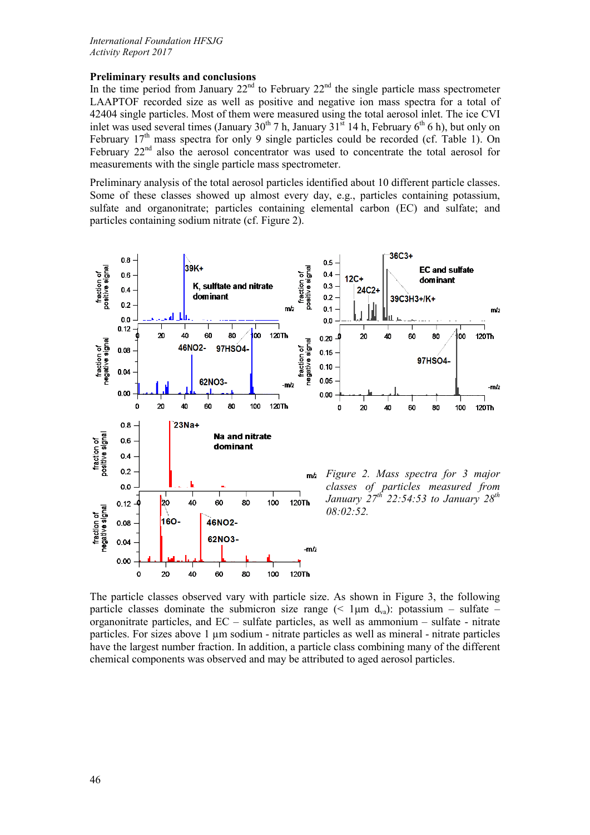### **Preliminary results and conclusions**

In the time period from January  $22<sup>nd</sup>$  to February  $22<sup>nd</sup>$  the single particle mass spectrometer LAAPTOF recorded size as well as positive and negative ion mass spectra for a total of 42404 single particles. Most of them were measured using the total aerosol inlet. The ice CVI inlet was used several times (January 30<sup>th</sup> 7 h, January 31<sup>st</sup> 14 h, February 6<sup>th</sup> 6 h), but only on February  $17<sup>th</sup>$  mass spectra for only 9 single particles could be recorded (cf. Table 1). On February 22<sup>nd</sup> also the aerosol concentrator was used to concentrate the total aerosol for measurements with the single particle mass spectrometer.

Preliminary analysis of the total aerosol particles identified about 10 different particle classes. Some of these classes showed up almost every day, e.g., particles containing potassium, sulfate and organonitrate; particles containing elemental carbon (EC) and sulfate; and particles containing sodium nitrate (cf. Figure 2).



The particle classes observed vary with particle size. As shown in Figure 3, the following particle classes dominate the submicron size range ( $\leq 1 \mu m \, d_{va}$ ): potassium – sulfate – organonitrate particles, and EC – sulfate particles, as well as ammonium – sulfate - nitrate particles. For sizes above  $1 \mu m$  sodium - nitrate particles as well as mineral - nitrate particles have the largest number fraction. In addition, a particle class combining many of the different chemical components was observed and may be attributed to aged aerosol particles.